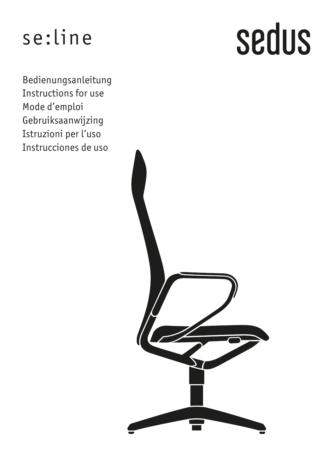# se:line

Bedienungsanleitung Instructions for use Mode d'emploi Gebruiksaanwijzing Istruzioni per l'uso Instrucciones de uso

# sedus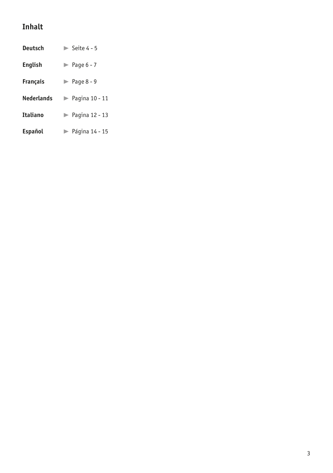# **Inhalt**

| Deutsch        | $\triangleright$ Seite 4 - 5         |
|----------------|--------------------------------------|
| English        | $\blacktriangleright$ Page 6 - 7     |
| Francais       | $\blacktriangleright$ Page 8 - 9     |
| Nederlands     | $\blacktriangleright$ Pagina 10 - 11 |
| Italiano       | $\blacktriangleright$ Pagina 12 - 13 |
| <b>Español</b> | $\blacktriangleright$ Página 14 - 15 |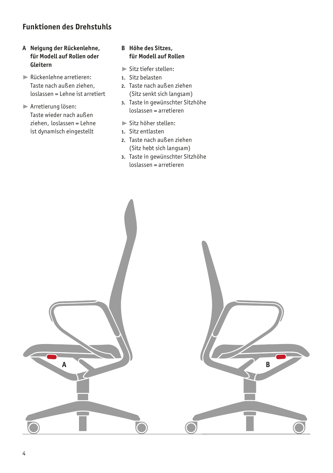# **Funktionen des Drehstuhls**

# **A Neigung der Rückenlehne, für Modell auf Rollen oder Gleitern**

- ® Rückenlehne arretieren: Taste nach außen ziehen, loslassen = Lehne ist arretiert
- ® Arretierung lösen: Taste wieder nach außen ziehen, loslassen = Lehne ist dynamisch eingestellt

# **B Höhe des Sitzes, für Modell auf Rollen**

- ® Sitz tiefer stellen:
- **1.** Sitz belasten
- **2.** Taste nach außen ziehen (Sitz senkt sich langsam)
- **3.** Taste in gewünschter Sitzhöhe loslassen = arretieren
- ® Sitz höher stellen:
- **1.** Sitz entlasten
- **2.** Taste nach außen ziehen (Sitz hebt sich langsam)
- **3.** Taste in gewünschter Sitzhöhe loslassen = arretieren

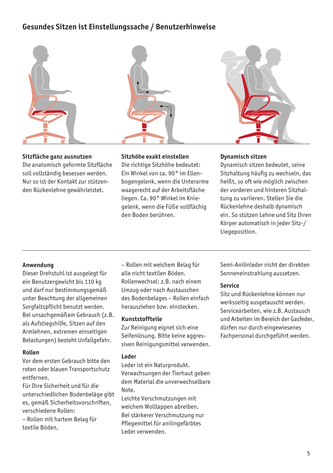# **Gesundes Sitzen ist Einstellungssache / Benutzerhinweise**



# **Sitzfläche ganz ausnutzen**

Die anatomisch geformte Sitzfläche soll vollständig besessen werden. Nur so ist der Kontakt zur stützenden Rückenlehne gewährleistet.



# **Sitzhöhe exakt einstellen**

Die richtige Sitzhöhe bedeutet: Ein Winkel von ca. 90° im Ellenbogengelenk, wenn die Unterarme waagerecht auf der Arbeitsfläche liegen. Ca. 90° Winkel im Kniegelenk, wenn die Füße vollflächig den Boden berühren.

# **Dynamisch sitzen**

Dynamisch sitzen bedeutet, seine Sitzhaltung häufig zu wechseln, das heißt, so oft wie möglich zwischen der vorderen und hinteren Sitzhaltung zu variieren. Stellen Sie die Rückenlehne deshalb dynamisch ein. So stützen Lehne und Sitz Ihren Körper automatisch in jeder Sitz-/ Liegeposition.

# **Anwendung**

Dieser Drehstuhl ist ausgelegt für ein Benutzergewicht bis 110 kg und darf nur bestimmungsgemäß unter Beachtung der allgemeinen Sorgfaltspflicht benutzt werden. Bei unsachgemäßem Gebrauch (z.B. als Aufstiegshilfe, Sitzen auf den Armlehnen, extremen einseitigen Belastungen) besteht Unfallgefahr.

# **Rollen**

Vor dem ersten Gebrauch bitte den roten oder blauen Transportschutz entfernen.

Für Ihre Sicherheit und für die unterschiedlichen Bodenbeläge gibt es, gemäß Sicherheitsvorschriften, verschiedene Rollen:

– Rollen mit hartem Belag für textile Böden,

– Rollen mit weichem Belag für alle nicht textilen Böden. Rollenwechsel: z.B. nach einem Umzug oder nach Austauschen des Bodenbelages – Rollen einfach herausziehen bzw. einstecken.

# **Kunststoffteile**

Zur Reinigung eignet sich eine Seifenlösung. Bitte keine aggressiven Reinigungsmittel verwenden.

# **Leder**

Leder ist ein Naturprodukt. Verwachsungen der Tierhaut geben dem Material die unverwechselbare Note.

Leichte Verschmutzungen mit weichem Wolllappen abreiben. Bei stärkerer Verschmutzung nur Pflegemittel für anilingefärbtes Leder verwenden.

Semi-Anilinleder nicht der direkten Sonneneinstrahlung aussetzen.

# **Service**

Sitz und Rückenlehne können nur werksseitig ausgetauscht werden. Servicearbeiten, wie z.B. Austausch und Arbeiten im Bereich der Gasfeder, dürfen nur durch eingewiesenes Fachpersonal durchgeführt werden.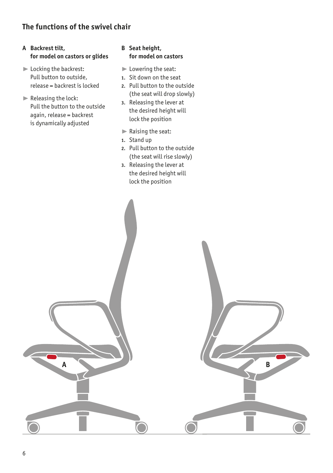# **The functions of the swivel chair**

# **A Backrest tilt, for model on castors or glides**

- **Example 2** Locking the backrest: Pull button to outside, release = backrest is locked
- $\blacktriangleright$  Releasing the lock: Pull the button to the outside again, release = backrest is dynamically adjusted

# **B Seat height, for model on castors**

- ® Lowering the seat:
- **1.** Sit down on the seat
- **2.** Pull button to the outside (the seat will drop slowly)
- **3.** Releasing the lever at the desired height will lock the position
- ® Raising the seat:
- **1.** Stand up
- **2.** Pull button to the outside (the seat will rise slowly)
- **3.** Releasing the lever at the desired height will lock the position

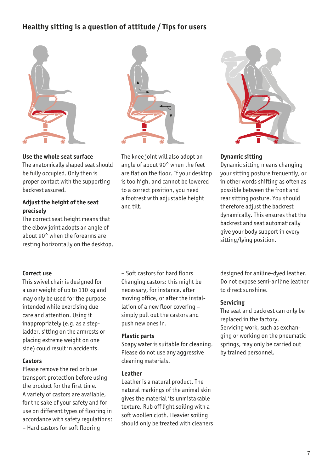# **Healthy sitting is a question of attitude / Tips for users**





# **Use the whole seat surface**

The anatomically shaped seat should be fully occupied. Only then is proper contact with the supporting backrest assured.

# **Adjust the height of the seat precisely**

The correct seat height means that the elbow joint adopts an angle of about 90° when the forearms are resting horizontally on the desktop. The knee joint will also adopt an angle of about 90° when the feet are flat on the floor. If your desktop is too high, and cannot be lowered to a correct position, you need a footrest with adjustable height and tilt.

# **Dynamic sitting**

Dynamic sitting means changing your sitting posture frequently, or in other words shifting as often as possible between the front and rear sitting posture. You should therefore adjust the backrest dynamically. This ensures that the backrest and seat automatically give your body support in every sitting/lying position.

# **Correct use**

This swivel chair is designed for a user weight of up to 110 kg and may only be used for the purpose intended while exercising due care and attention. Using it inappropriately (e.g. as a stepladder, sitting on the armrests or placing extreme weight on one side) could result in accidents.

# **Castors**

Please remove the red or blue transport protection before using the product for the first time. A variety of castors are available, for the sake of your safety and for use on different types of flooring in accordance with safety regulations: – Hard castors for soft flooring

– Soft castors for hard floors Changing castors: this might be necessary, for instance, after moving office, or after the installation of a new floor covering – simply pull out the castors and push new ones in.

#### **Plastic parts**

Soapy water is suitable for cleaning. Please do not use any aggressive cleaning materials.

## **Leather**

Leather is a natural product. The natural markings of the animal skin gives the material its unmistakable texture. Rub off light soiling with a soft woollen cloth. Heavier soiling should only be treated with cleaners

designed for aniline-dyed leather. Do not expose semi-aniline leather to direct sunshine.

# **Servicing**

The seat and backrest can only be replaced in the factory. Servicing work, such as exchanging or working on the pneumatic springs, may only be carried out by trained personnel.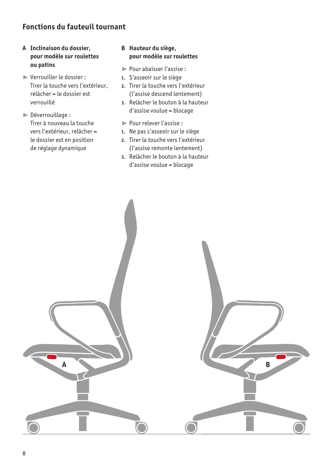# **Fonctions du fauteuil tournant**

# **A Inclinaison du dossier, pour modèle sur roulettes ou patins**

- ® Verrouiller le dossier : Tirer la touche vers l'extérieur, relâcher = le dossier est verrouillé
- ® Déverrouillage : Tirer à nouveau la touche vers l'extérieur, relâcher = le dossier est en position de réglage dynamique

# **B Hauteur du siège, pour modèle sur roulettes**

- ® Pour abaisser l'assise :
- **1.** S'asseoir sur le siège
- **2.** Tirer la touche vers l'extérieur (l'assise descend lentement)
- **3.** Relâcher le bouton à la hauteur d'assise voulue = blocage
- ® Pour relever l'assise :
- **1.** Ne pas s'asseoir sur le siège
- **2.** Tirer la touche vers l'extérieur (l'assise remonte lentement)
- **3.** Relâcher le bouton à la hauteur d'assise voulue = blocage

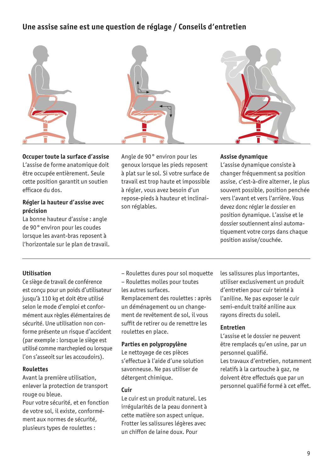# **Une assise saine est une question de réglage / Conseils d'entretien**



**Occuper toute la surface d'assise** L'assise de forme anatomique doit être occupée entièrement. Seule cette position garantit un soutien efficace du dos.

# **Régler la hauteur d'assise avec précision**

La bonne hauteur d'assise : angle de 90° environ pour les coudes lorsque les avant-bras reposent à l'horizontale sur le plan de travail. Angle de 90 ° environ pour les genoux lorsque les pieds reposent à plat sur le sol. Si votre surface de travail est trop haute et impossible à régler, vous avez besoin d'un repose-pieds à hauteur et inclinaison réglables.

# **Assise dynamique**

L'assise dynamique consiste à changer fréquemment sa position assise, c'est-à-dire alterner, le plus souvent possible, position penchée vers l'avant et vers l'arrière. Vous devez donc régler le dossier en position dynamique. L'assise et le dossier soutiennent ainsi automatiquement votre corps dans chaque position assise/couchée.

# **Utilisation**

Ce siège de travail de conférence est conçu pour un poids d'utilisateur jusqu'à 110 kg et doit être utilisé selon le mode d'emploi et conformément aux règles élémentaires de sécurité. Une utilisation non conforme présente un risque d'accident (par exemple : lorsque le siège est utilisé comme marchepied ou lorsque l'on s'asseoit sur les accoudoirs).

# **Roulettes**

Avant la première utilisation, enlever la protection de transport rouge ou bleue.

Pour votre sécurité, et en fonction de votre sol, il existe, conformément aux normes de sécurité, plusieurs types de roulettes :

– Roulettes dures pour sol moquette – Roulettes molles pour toutes

les autres surfaces. Remplacement des roulettes : après un déménagement ou un changement de revêtement de sol, il vous suffit de retirer ou de remettre les roulettes en place.

# **Parties en polypropylène**

Le nettoyage de ces pièces s'effectue à l'aide d'une solution savonneuse. Ne pas utiliser de détergent chimique.

# **Cuir**

Le cuir est un produit naturel. Les irrégularités de la peau donnent à cette matière son aspect unique. Frotter les salissures légères avec un chiffon de laine doux. Pour

les salissures plus importantes, utiliser exclusivement un produit d'entretien pour cuir teinté à l'aniline. Ne pas exposer le cuir semi-enduit traité aniline aux rayons directs du soleil.

# **Entretien**

L'assise et le dossier ne peuvent être remplacés qu'en usine, par un personnel qualifié. Les travaux d'entretien, notamment relatifs à la cartouche à gaz, ne doivent être effectués que par un personnel qualifié formé à cet effet.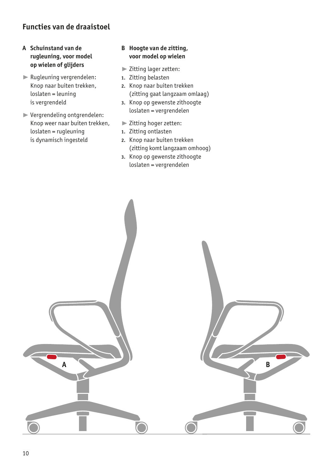# **Functies van de draaistoel**

- **A Schuinstand van de rugleuning, voor model op wielen of glijders**
- ® Rugleuning vergrendelen: Knop naar buiten trekken, loslaten = leuning is vergrendeld
- ® Vergrendeling ontgrendelen: Knop weer naar buiten trekken, loslaten = rugleuning is dynamisch ingesteld

# **B Hoogte van de zitting, voor model op wielen**

- ® Zitting lager zetten:
- **1.** Zitting belasten
- **2.** Knop naar buiten trekken (zitting gaat langzaam omlaag)
- **3.** Knop op gewenste zithoogte loslaten = vergrendelen
- ® Zitting hoger zetten:
- **1.** Zitting ontlasten
- **2.** Knop naar buiten trekken (zitting komt langzaam omhoog)
- **3.** Knop op gewenste zithoogte loslaten = vergrendelen

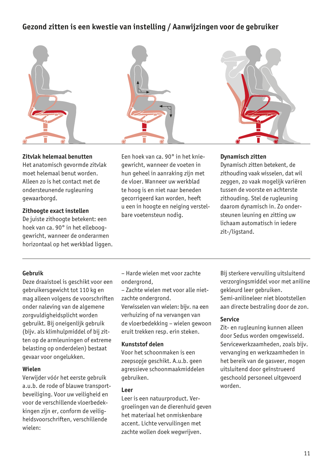# **Gezond zitten is een kwestie van instelling / Aanwijzingen voor de gebruiker**



# **Zitvlak helemaal benutten**

Het anatomisch gevormde zitvlak moet helemaal benut worden. Alleen zo is het contact met de ondersteunende rugleuning gewaarborgd.

#### **Zithoogte exact instellen** De juiste zithoogte betekent: een

hoek van ca. 90° in het ellebooggewricht, wanneer de onderarmen horizontaal op het werkblad liggen. Een hoek van ca. 90° in het kniegewricht, wanneer de voeten in hun geheel in aanraking zijn met de vloer. Wanneer uw werkblad te hoog is en niet naar beneden gecorrigeerd kan worden, heeft u een in hoogte en neiging verstelbare voetensteun nodig.

# **Dynamisch zitten**

Dynamisch zitten betekent, de zithouding vaak wisselen, dat wil zeggen, zo vaak mogelijk variëren tussen de voorste en achterste zithouding. Stel de rugleuning daarom dynamisch in. Zo ondersteunen leuning en zitting uw lichaam automatisch in iedere zit-/ligstand.

# **Gebruik**

Deze draaistoel is geschikt voor een gebruikersgewicht tot 110 kg en mag alleen volgens de voorschriften onder naleving van de algemene zorgvuldigheidsplicht worden gebruikt. Bij oneigenlijk gebruik (bijv. als klimhulpmiddel of bij zitten op de armleuningen of extreme belasting op onderdelen) bestaat gevaar voor ongelukken.

# **Wielen**

Verwijder vóór het eerste gebruik a.u.b. de rode of blauwe transportbeveiliging. Voor uw veiligheid en voor de verschillende vloerbedekkingen zijn er, conform de veiligheidsvoorschriften, verschillende wielen:

– Harde wielen met voor zachte ondergrond,

– Zachte wielen met voor alle nietzachte ondergrond.

Verwisselen van wielen: bijv. na een verhuizing of na vervangen van de vloerbedekking – wielen gewoon eruit trekken resp. erin steken.

# **Kunststof delen**

Voor het schoonmaken is een zeepsopje geschikt. A.u.b. geen agressieve schoonmaakmiddelen gebruiken.

# **Leer**

Leer is een natuurproduct. Vergroeiingen van de dierenhuid geven het materiaal het onmiskenbare accent. Lichte vervuilingen met zachte wollen doek wegwrijven.

Bij sterkere vervuiling uitsluitend verzorgingsmiddel voor met aniline gekleurd leer gebruiken. Semi-anilineleer niet blootstellen aan directe bestraling door de zon.

# **Service**

Zit- en rugleuning kunnen alleen door Sedus worden omgewisseld. Servicewerkzaamheden, zoals bijv. vervanging en werkzaamheden in het bereik van de gasveer, mogen uitsluitend door geïnstrueerd geschoold personeel uitgevoerd worden.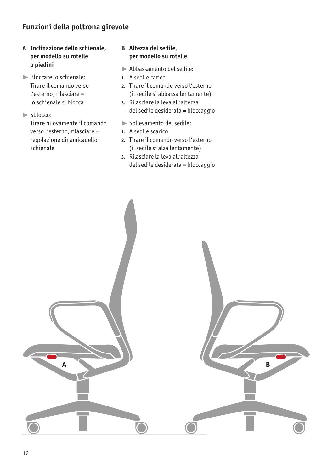# **Funzioni della poltrona girevole**

- **A Inclinazione dello schienale, per modello su rotelle o piedini**
- ® Bloccare lo schienale: Tirare il comando verso l'esterno, rilasciare = lo schienale si blocca
- ® Sblocco:

Tirare nuovamente il comando verso l'esterno, rilasciare = regolazione dinamicadello schienale

# **B Altezza del sedile, per modello su rotelle**

- ® Abbassamento del sedile:
- **1.** A sedile carico
- **2.** Tirare il comando verso l'esterno (il sedile si abbassa lentamente)
- **3.** Rilasciare la leva all'altezza del sedile desiderata = bloccaggio
- Sollevamento del sedile:
- **1.** A sedile scarico
- **2.** Tirare il comando verso l'esterno (il sedile si alza lentamente)
- **3.** Rilasciare la leva all'altezza del sedile desiderata = bloccaggio

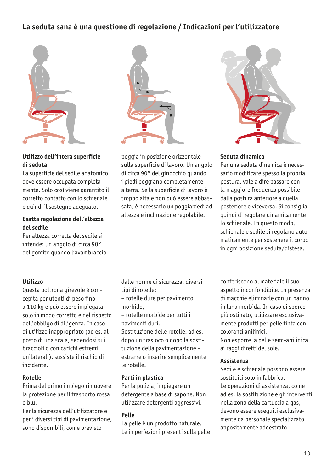# **La seduta sana è una questione di regolazione / Indicazioni per l'utilizzatore**



# **Utilizzo dell'intera superficie di seduta**

La superficie del sedile anatomico deve essere occupata completamente. Solo così viene garantito il corretto contatto con lo schienale e quindi il sostegno adeguato.

# **Esatta regolazione dell'altezza del sedile**

Per altezza corretta del sedile si intende: un angolo di circa 90° del gomito quando l'avambraccio poggia in posizione orizzontale sulla superficie di lavoro. Un angolo di circa 90° del ginocchio quando i piedi poggiano completamente a terra. Se la superficie di lavoro è troppo alta e non può essere abbassata, è necessario un poggiapiedi ad altezza e inclinazione regolabile.

# **Seduta dinamica**

Per una seduta dinamica è necessario modificare spesso la propria postura, vale a dire passare con la maggiore frequenza possibile dalla postura anteriore a quella posteriore e viceversa. Si consiglia quindi di regolare dinamicamente lo schienale. In questo modo, schienale e sedile si regolano automaticamente per sostenere il corpo in ogni posizione seduta/distesa.

# **Utilizzo**

Questa poltrona girevole è concepita per utenti di peso fino a 110 kg e può essere impiegata solo in modo corretto e nel rispetto dell'obbligo di diligenza. In caso di utilizzo inappropriato (ad es. al posto di una scala, sedendosi sui braccioli o con carichi estremi unilaterali), sussiste il rischio di incidente.

# **Rotelle**

Prima del primo impiego rimuovere la protezione per il trasporto rossa o blu.

Per la sicurezza dell'utilizzatore e per i diversi tipi di pavimentazione, sono disponibili, come previsto

dalle norme di sicurezza, diversi tipi di rotelle:

- rotelle dure per pavimento morbido,
- rotelle morbide per tutti i pavimenti duri.
- Sostituzione delle rotelle: ad es. dopo un trasloco o dopo la sostituzione della pavimentazione – estrarre o inserire semplicemente le rotelle.

# **Parti in plastica**

Per la pulizia, impiegare un detergente a base di sapone. Non utilizzare detergenti aggressivi.

# **Pelle**

La pelle è un prodotto naturale. Le imperfezioni presenti sulla pelle

conferiscono al materiale il suo aspetto inconfondibile. In presenza di macchie eliminarle con un panno in lana morbida. In caso di sporco più ostinato, utilizzare esclusivamente prodotti per pelle tinta con coloranti anilinici.

Non esporre la pelle semi-anilinica ai raggi diretti del sole.

# **Assistenza**

Sedile e schienale possono essere sostituiti solo in fabbrica. Le operazioni di assistenza, come ad es. la sostituzione e gli interventi nella zona della cartuccia a gas, devono essere eseguiti esclusivamente da personale specializzato appositamente addestrato.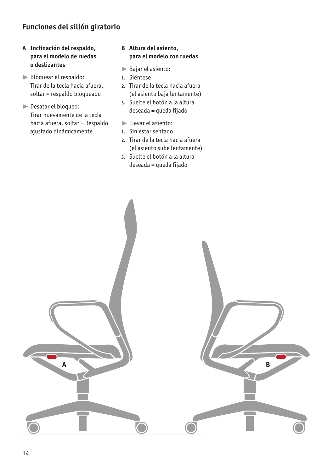# **Funciones del sillón giratorio**

# **A Inclinación del respaldo, para el modelo de ruedas o deslizantes**

- Bloquear el respaldo: Tirar de la tecla hacia afuera, soltar = respaldo bloqueado
- ® Desatar el bloqueo: Tirar nuevamente de la tecla hacia afuera, soltar = Respaldo ajustado dinámicamente

# **B Altura del asiento, para el modelo con ruedas**

- ® Bajar el asiento:
- **1.** Siéntese
- **2.** Tirar de la tecla hacia afuera (el asiento baja lentamente)
- **3.** Suelte el botón a la altura deseada = queda fijado
- ® Elevar el asiento:
- **1.** Sin estar sentado
- **2.** Tirar de la tecla hacia afuera (el asiento sube lentamente)
- **3.** Suelte el botón a la altura deseada = queda fijado

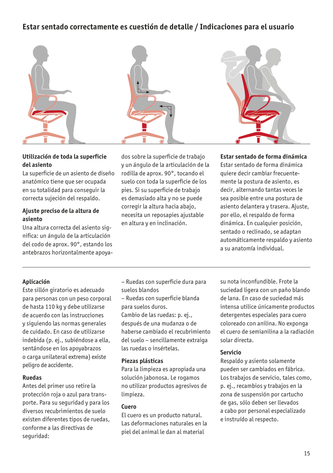# **Estar sentado correctamente es cuestión de detalle / Indicaciones para el usuario**



# **Utilización de toda la superficie del asiento**

La superficie de un asiento de diseño anatómico tiene que ser ocupada en su totalidad para conseguir la correcta sujeción del respaldo.

# **Ajuste preciso de la altura de asiento**

Una altura correcta del asiento significa: un ángulo de la articulación del codo de aprox. 90°, estando los antebrazos horizontalmente apoya-

dos sobre la superficie de trabajo y un ángulo de la articulación de la rodilla de aprox. 90°, tocando el suelo con toda la superficie de los pies. Si su superficie de trabajo es demasiado alta y no se puede corregir la altura hacia abajo, necesita un reposapies ajustable en altura y en inclinación.

# **Estar sentado de forma dinámica**

Estar sentado de forma dinámica quiere decir cambiar frecuentemente la postura de asiento, es decir, alternando tantas veces le sea posible entre una postura de asiento delantera y trasera. Ajuste, por ello, el respaldo de forma dinámica. En cualquier posición, sentado o reclinado, se adaptan automáticamente respaldo y asiento a su anatomía individual.

# **Aplicación**

Este sillón giratorio es adecuado para personas con un peso corporal de hasta 110 kg y debe utilizarse de acuerdo con las instrucciones y siguiendo las normas generales de cuidado. En caso de utilizarse indebida (p. ej., subiéndose a ella, sentándose en los apoyabrazos o carga unilateral extrema) existe peligro de accidente.

# **Ruedas**

Antes del primer uso retire la protección roja o azul para transporte. Para su seguridad y para los diversos recubrimientos de suelo existen diferentes tipos de ruedas, conforme a las directivas de seguridad:

- Ruedas con superficie dura para suelos blandos
- Ruedas con superficie blanda para suelos duros.

Cambio de las ruedas: p. ej., después de una mudanza o de haberse cambiado el recubrimiento del suelo – sencillamente extraiga las ruedas o insértelas.

# **Piezas plásticas**

Para la limpieza es apropiada una solución jabonosa. Le rogamos no utilizar productos agresivos de limpieza.

## **Cuero**

El cuero es un producto natural. Las deformaciones naturales en la piel del animal le dan al material

su nota inconfundible. Frote la suciedad ligera con un paño blando de lana. En caso de suciedad más intensa utilice únicamente productos detergentes especiales para cuero coloreado con anilina. No exponga el cuero de semianilina a la radiación solar directa.

#### **Servicio**

Respaldo y asiento solamente pueden ser cambiados en fábrica. Los trabajos de servicio, tales como, p. ej., recambios y trabajos en la zona de suspensión por cartucho de gas, sólo deben ser llevados a cabo por personal especializado e instruído al respecto.